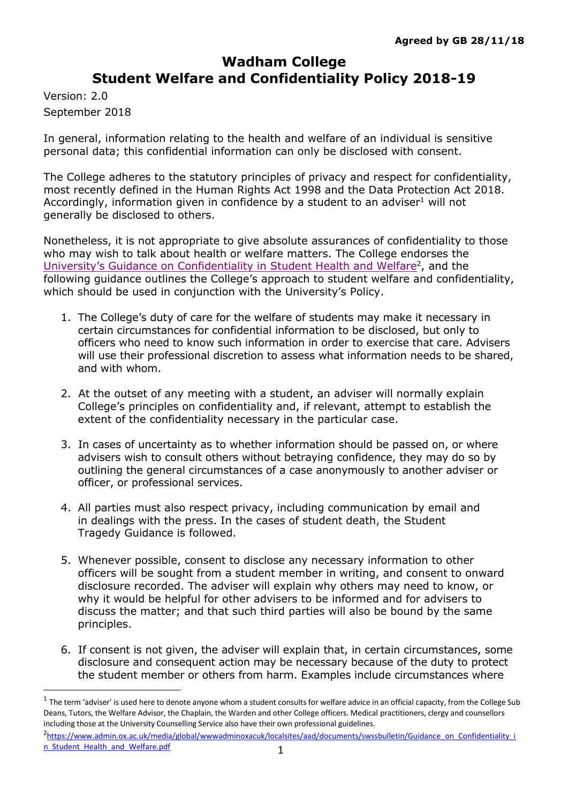## **Wadham College Student Welfare and Confidentiality Policy 2018-19**

Version: 2.0 September 2018

In general, information relating to the health and welfare of an individual is sensitive personal data; this confidential information can only be disclosed with consent.

The College adheres to the statutory principles of privacy and respect for confidentiality, most recently defined in the Human Rights Act 1998 and the Data Protection Act 2018. Accordingly, information given in confidence by a student to an adviser $1$  will not generally be disclosed to others.

Nonetheless, it is not appropriate to give absolute assurances of confidentiality to those who may wish to talk about health or welfare matters. The College endorses the [University's Guidance on Confidentiality in Student H](https://academic.admin.ox.ac.uk/files/guidance-confidentiality-student-health-and-welfare)ealth and Welfare<sup>2</sup>, and the following guidance outlines the College's approach to student welfare and confidentiality, which should be used in conjunction with the University's Policy.

- 1. The College's duty of care for the welfare of students may make it necessary in certain circumstances for confidential information to be disclosed, but only to officers who need to know such information in order to exercise that care. Advisers will use their professional discretion to assess what information needs to be shared, and with whom.
- 2. At the outset of any meeting with a student, an adviser will normally explain College's principles on confidentiality and, if relevant, attempt to establish the extent of the confidentiality necessary in the particular case.
- 3. In cases of uncertainty as to whether information should be passed on, or where advisers wish to consult others without betraying confidence, they may do so by outlining the general circumstances of a case anonymously to another adviser or officer, or professional services.
- 4. All parties must also respect privacy, including communication by email and in dealings with the press. In the cases of student death, the Student Tragedy Guidance is followed.
- 5. Whenever possible, consent to disclose any necessary information to other officers will be sought from a student member in writing, and consent to onward disclosure recorded. The adviser will explain why others may need to know, or why it would be helpful for other advisers to be informed and for advisers to discuss the matter; and that such third parties will also be bound by the same principles.
- 6. If consent is not given, the adviser will explain that, in certain circumstances, some disclosure and consequent action may be necessary because of the duty to protect the student member or others from harm. Examples include circumstances where

 $^1$  The term 'adviser' is used here to denote anyone whom a student consults for welfare advice in an official capacity, from the College Sub Deans, Tutors, the Welfare Advisor, the Chaplain, the Warden and other College officers. Medical practitioners, clergy and counsellors including those at the University Counselling Service also have their own professional guidelines.

<sup>&</sup>lt;sup>2</sup>[https://www.admin.ox.ac.uk/media/global/wwwadminoxacuk/localsites/aad/documents/swssbulletin/Guidance\\_on\\_Confidentiality\\_i](https://www.admin.ox.ac.uk/media/global/wwwadminoxacuk/localsites/aad/documents/swssbulletin/Guidance_on_Confidentiality_in_Student_Health_and_Welfare.pdf) n Student Health and Welfare.pdf 1